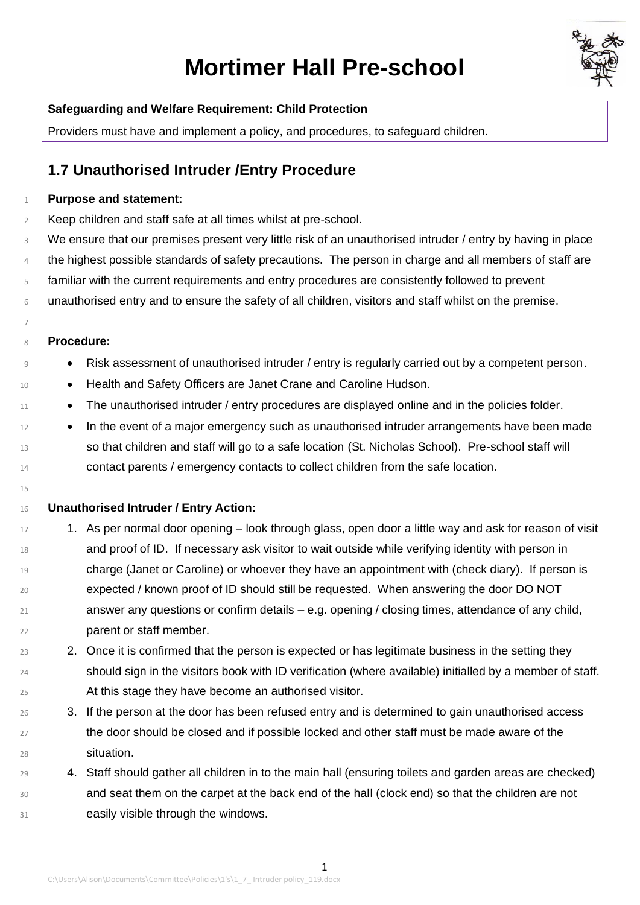# **Mortimer Hall Pre-school**



### **Safeguarding and Welfare Requirement: Child Protection**

Providers must have and implement a policy, and procedures, to safeguard children.

## **1.7 Unauthorised Intruder /Entry Procedure**

#### **Purpose and statement:**

Keep children and staff safe at all times whilst at pre-school.

 We ensure that our premises present very little risk of an unauthorised intruder / entry by having in place 4 the highest possible standards of safety precautions. The person in charge and all members of staff are familiar with the current requirements and entry procedures are consistently followed to prevent unauthorised entry and to ensure the safety of all children, visitors and staff whilst on the premise.

#### **Procedure:**

- Risk assessment of unauthorised intruder / entry is regularly carried out by a competent person.
- 10 Health and Safety Officers are Janet Crane and Caroline Hudson.
- 11 The unauthorised intruder / entry procedures are displayed online and in the policies folder.
- In the event of a major emergency such as unauthorised intruder arrangements have been made so that children and staff will go to a safe location (St. Nicholas School). Pre-school staff will contact parents / emergency contacts to collect children from the safe location.
- 

#### **Unauthorised Intruder / Entry Action:**

- 17 1. As per normal door opening look through glass, open door a little way and ask for reason of visit and proof of ID. If necessary ask visitor to wait outside while verifying identity with person in charge (Janet or Caroline) or whoever they have an appointment with (check diary). If person is expected / known proof of ID should still be requested. When answering the door DO NOT answer any questions or confirm details – e.g. opening / closing times, attendance of any child, parent or staff member.
- 2. Once it is confirmed that the person is expected or has legitimate business in the setting they should sign in the visitors book with ID verification (where available) initialled by a member of staff. At this stage they have become an authorised visitor.
- 3. If the person at the door has been refused entry and is determined to gain unauthorised access <sup>27</sup> the door should be closed and if possible locked and other staff must be made aware of the situation.
- 4. Staff should gather all children in to the main hall (ensuring toilets and garden areas are checked) and seat them on the carpet at the back end of the hall (clock end) so that the children are not **easily visible through the windows.**